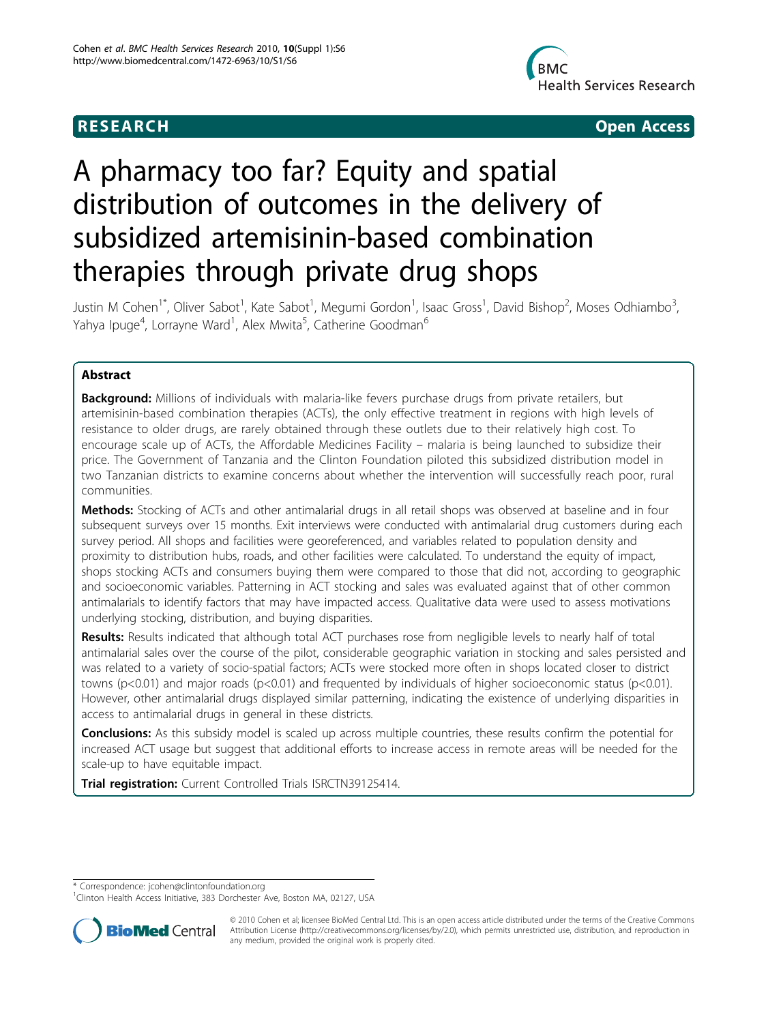

# **RESEARCH CONSTRUCTION CONSTRUCTS**

# A pharmacy too far? Equity and spatial distribution of outcomes in the delivery of subsidized artemisinin-based combination therapies through private drug shops

Justin M Cohen<sup>1\*</sup>, Oliver Sabot<sup>1</sup>, Kate Sabot<sup>1</sup>, Megumi Gordon<sup>1</sup>, Isaac Gross<sup>1</sup>, David Bishop<sup>2</sup>, Moses Odhiambo<sup>3</sup> , Yahya Ipuge<sup>4</sup>, Lorrayne Ward<sup>1</sup>, Alex Mwita<sup>5</sup>, Catherine Goodman<sup>6</sup>

## Abstract

**Background:** Millions of individuals with malaria-like fevers purchase drugs from private retailers, but artemisinin-based combination therapies (ACTs), the only effective treatment in regions with high levels of resistance to older drugs, are rarely obtained through these outlets due to their relatively high cost. To encourage scale up of ACTs, the Affordable Medicines Facility – malaria is being launched to subsidize their price. The Government of Tanzania and the Clinton Foundation piloted this subsidized distribution model in two Tanzanian districts to examine concerns about whether the intervention will successfully reach poor, rural communities.

Methods: Stocking of ACTs and other antimalarial drugs in all retail shops was observed at baseline and in four subsequent surveys over 15 months. Exit interviews were conducted with antimalarial drug customers during each survey period. All shops and facilities were georeferenced, and variables related to population density and proximity to distribution hubs, roads, and other facilities were calculated. To understand the equity of impact, shops stocking ACTs and consumers buying them were compared to those that did not, according to geographic and socioeconomic variables. Patterning in ACT stocking and sales was evaluated against that of other common antimalarials to identify factors that may have impacted access. Qualitative data were used to assess motivations underlying stocking, distribution, and buying disparities.

Results: Results indicated that although total ACT purchases rose from negligible levels to nearly half of total antimalarial sales over the course of the pilot, considerable geographic variation in stocking and sales persisted and was related to a variety of socio-spatial factors; ACTs were stocked more often in shops located closer to district towns (p<0.01) and major roads (p<0.01) and frequented by individuals of higher socioeconomic status (p<0.01). However, other antimalarial drugs displayed similar patterning, indicating the existence of underlying disparities in access to antimalarial drugs in general in these districts.

Conclusions: As this subsidy model is scaled up across multiple countries, these results confirm the potential for increased ACT usage but suggest that additional efforts to increase access in remote areas will be needed for the scale-up to have equitable impact.

Trial registration: Current Controlled Trials ISRCTN39125414.

\* Correspondence: [jcohen@clintonfoundation.org](mailto:jcohen@clintonfoundation.org)

<sup>&</sup>lt;sup>1</sup>Clinton Health Access Initiative, 383 Dorchester Ave, Boston MA, 02127, USA



© 2010 Cohen et al; licensee BioMed Central Ltd. This is an open access article distributed under the terms of the Creative Commons Attribution License [\(http://creativecommons.org/licenses/by/2.0](http://creativecommons.org/licenses/by/2.0)), which permits unrestricted use, distribution, and reproduction in any medium, provided the original work is properly cited.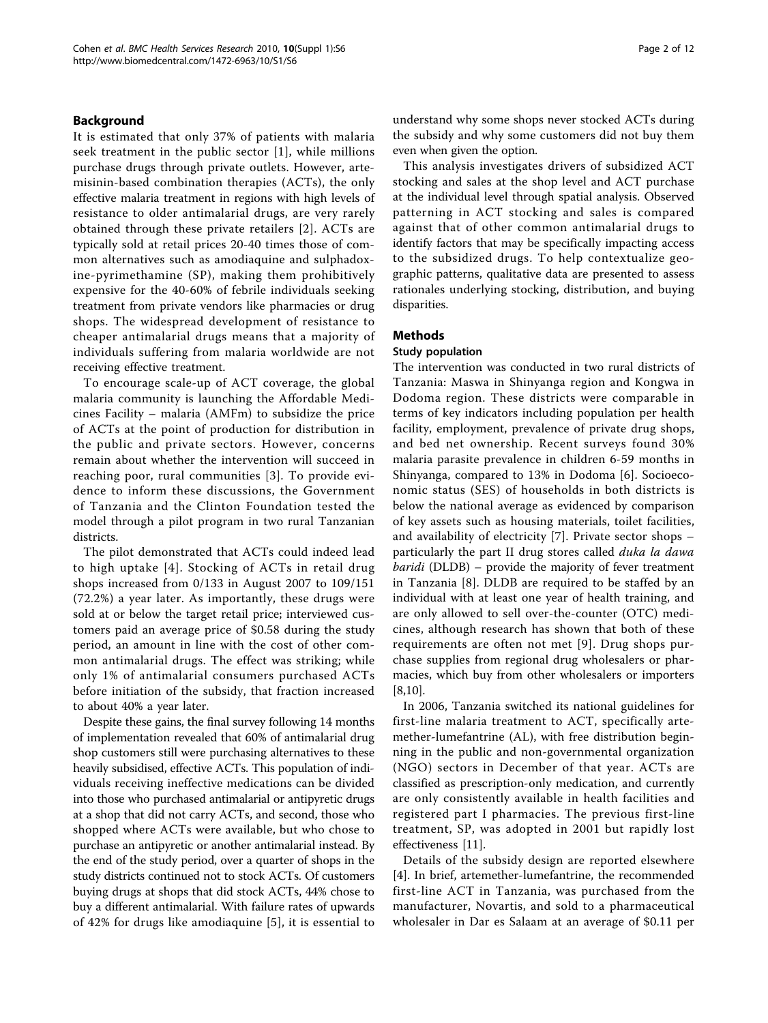#### Background

It is estimated that only 37% of patients with malaria seek treatment in the public sector [[1\]](#page-10-0), while millions purchase drugs through private outlets. However, artemisinin-based combination therapies (ACTs), the only effective malaria treatment in regions with high levels of resistance to older antimalarial drugs, are very rarely obtained through these private retailers [[2](#page-10-0)]. ACTs are typically sold at retail prices 20-40 times those of common alternatives such as amodiaquine and sulphadoxine-pyrimethamine (SP), making them prohibitively expensive for the 40-60% of febrile individuals seeking treatment from private vendors like pharmacies or drug shops. The widespread development of resistance to cheaper antimalarial drugs means that a majority of individuals suffering from malaria worldwide are not receiving effective treatment.

To encourage scale-up of ACT coverage, the global malaria community is launching the Affordable Medicines Facility – malaria (AMFm) to subsidize the price of ACTs at the point of production for distribution in the public and private sectors. However, concerns remain about whether the intervention will succeed in reaching poor, rural communities [[3](#page-10-0)]. To provide evidence to inform these discussions, the Government of Tanzania and the Clinton Foundation tested the model through a pilot program in two rural Tanzanian districts.

The pilot demonstrated that ACTs could indeed lead to high uptake [[4\]](#page-10-0). Stocking of ACTs in retail drug shops increased from 0/133 in August 2007 to 109/151 (72.2%) a year later. As importantly, these drugs were sold at or below the target retail price; interviewed customers paid an average price of \$0.58 during the study period, an amount in line with the cost of other common antimalarial drugs. The effect was striking; while only 1% of antimalarial consumers purchased ACTs before initiation of the subsidy, that fraction increased to about 40% a year later.

Despite these gains, the final survey following 14 months of implementation revealed that 60% of antimalarial drug shop customers still were purchasing alternatives to these heavily subsidised, effective ACTs. This population of individuals receiving ineffective medications can be divided into those who purchased antimalarial or antipyretic drugs at a shop that did not carry ACTs, and second, those who shopped where ACTs were available, but who chose to purchase an antipyretic or another antimalarial instead. By the end of the study period, over a quarter of shops in the study districts continued not to stock ACTs. Of customers buying drugs at shops that did stock ACTs, 44% chose to buy a different antimalarial. With failure rates of upwards of 42% for drugs like amodiaquine [[5](#page-10-0)], it is essential to understand why some shops never stocked ACTs during the subsidy and why some customers did not buy them even when given the option.

This analysis investigates drivers of subsidized ACT stocking and sales at the shop level and ACT purchase at the individual level through spatial analysis. Observed patterning in ACT stocking and sales is compared against that of other common antimalarial drugs to identify factors that may be specifically impacting access to the subsidized drugs. To help contextualize geographic patterns, qualitative data are presented to assess rationales underlying stocking, distribution, and buying disparities.

#### Methods

#### Study population

The intervention was conducted in two rural districts of Tanzania: Maswa in Shinyanga region and Kongwa in Dodoma region. These districts were comparable in terms of key indicators including population per health facility, employment, prevalence of private drug shops, and bed net ownership. Recent surveys found 30% malaria parasite prevalence in children 6-59 months in Shinyanga, compared to 13% in Dodoma [[6](#page-10-0)]. Socioeconomic status (SES) of households in both districts is below the national average as evidenced by comparison of key assets such as housing materials, toilet facilities, and availability of electricity [[7\]](#page-10-0). Private sector shops – particularly the part II drug stores called duka la dawa baridi (DLDB) – provide the majority of fever treatment in Tanzania [\[8](#page-10-0)]. DLDB are required to be staffed by an individual with at least one year of health training, and are only allowed to sell over-the-counter (OTC) medicines, although research has shown that both of these requirements are often not met [[9](#page-10-0)]. Drug shops purchase supplies from regional drug wholesalers or pharmacies, which buy from other wholesalers or importers [[8,10\]](#page-10-0).

In 2006, Tanzania switched its national guidelines for first-line malaria treatment to ACT, specifically artemether-lumefantrine (AL), with free distribution beginning in the public and non-governmental organization (NGO) sectors in December of that year. ACTs are classified as prescription-only medication, and currently are only consistently available in health facilities and registered part I pharmacies. The previous first-line treatment, SP, was adopted in 2001 but rapidly lost effectiveness [[11\]](#page-10-0).

Details of the subsidy design are reported elsewhere [[4\]](#page-10-0). In brief, artemether-lumefantrine, the recommended first-line ACT in Tanzania, was purchased from the manufacturer, Novartis, and sold to a pharmaceutical wholesaler in Dar es Salaam at an average of \$0.11 per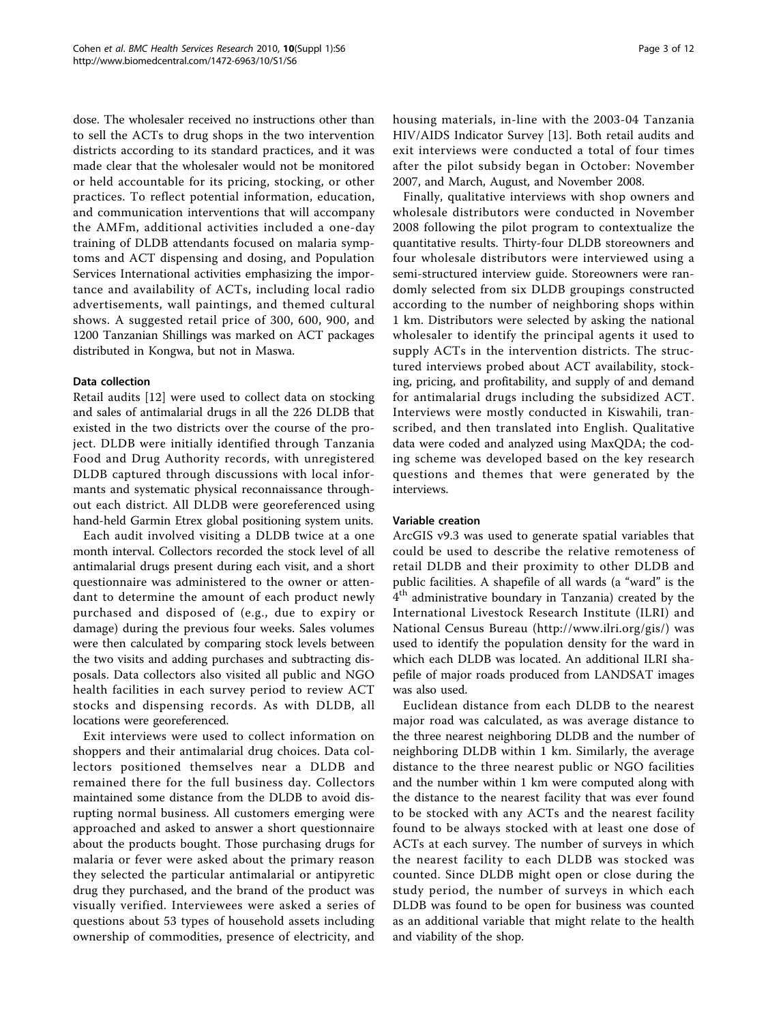dose. The wholesaler received no instructions other than to sell the ACTs to drug shops in the two intervention districts according to its standard practices, and it was made clear that the wholesaler would not be monitored or held accountable for its pricing, stocking, or other practices. To reflect potential information, education, and communication interventions that will accompany the AMFm, additional activities included a one-day training of DLDB attendants focused on malaria symptoms and ACT dispensing and dosing, and Population Services International activities emphasizing the importance and availability of ACTs, including local radio advertisements, wall paintings, and themed cultural shows. A suggested retail price of 300, 600, 900, and 1200 Tanzanian Shillings was marked on ACT packages distributed in Kongwa, but not in Maswa.

#### Data collection

Retail audits [[12\]](#page-10-0) were used to collect data on stocking and sales of antimalarial drugs in all the 226 DLDB that existed in the two districts over the course of the project. DLDB were initially identified through Tanzania Food and Drug Authority records, with unregistered DLDB captured through discussions with local informants and systematic physical reconnaissance throughout each district. All DLDB were georeferenced using hand-held Garmin Etrex global positioning system units.

Each audit involved visiting a DLDB twice at a one month interval. Collectors recorded the stock level of all antimalarial drugs present during each visit, and a short questionnaire was administered to the owner or attendant to determine the amount of each product newly purchased and disposed of (e.g., due to expiry or damage) during the previous four weeks. Sales volumes were then calculated by comparing stock levels between the two visits and adding purchases and subtracting disposals. Data collectors also visited all public and NGO health facilities in each survey period to review ACT stocks and dispensing records. As with DLDB, all locations were georeferenced.

Exit interviews were used to collect information on shoppers and their antimalarial drug choices. Data collectors positioned themselves near a DLDB and remained there for the full business day. Collectors maintained some distance from the DLDB to avoid disrupting normal business. All customers emerging were approached and asked to answer a short questionnaire about the products bought. Those purchasing drugs for malaria or fever were asked about the primary reason they selected the particular antimalarial or antipyretic drug they purchased, and the brand of the product was visually verified. Interviewees were asked a series of questions about 53 types of household assets including ownership of commodities, presence of electricity, and housing materials, in-line with the 2003-04 Tanzania HIV/AIDS Indicator Survey [\[13](#page-10-0)]. Both retail audits and exit interviews were conducted a total of four times after the pilot subsidy began in October: November 2007, and March, August, and November 2008.

Finally, qualitative interviews with shop owners and wholesale distributors were conducted in November 2008 following the pilot program to contextualize the quantitative results. Thirty-four DLDB storeowners and four wholesale distributors were interviewed using a semi-structured interview guide. Storeowners were randomly selected from six DLDB groupings constructed according to the number of neighboring shops within 1 km. Distributors were selected by asking the national wholesaler to identify the principal agents it used to supply ACTs in the intervention districts. The structured interviews probed about ACT availability, stocking, pricing, and profitability, and supply of and demand for antimalarial drugs including the subsidized ACT. Interviews were mostly conducted in Kiswahili, transcribed, and then translated into English. Qualitative data were coded and analyzed using MaxQDA; the coding scheme was developed based on the key research questions and themes that were generated by the interviews.

#### Variable creation

ArcGIS v9.3 was used to generate spatial variables that could be used to describe the relative remoteness of retail DLDB and their proximity to other DLDB and public facilities. A shapefile of all wards (a "ward" is the 4<sup>th</sup> administrative boundary in Tanzania) created by the International Livestock Research Institute (ILRI) and National Census Bureau (<http://www.ilri.org/gis/>) was used to identify the population density for the ward in which each DLDB was located. An additional ILRI shapefile of major roads produced from LANDSAT images was also used.

Euclidean distance from each DLDB to the nearest major road was calculated, as was average distance to the three nearest neighboring DLDB and the number of neighboring DLDB within 1 km. Similarly, the average distance to the three nearest public or NGO facilities and the number within 1 km were computed along with the distance to the nearest facility that was ever found to be stocked with any ACTs and the nearest facility found to be always stocked with at least one dose of ACTs at each survey. The number of surveys in which the nearest facility to each DLDB was stocked was counted. Since DLDB might open or close during the study period, the number of surveys in which each DLDB was found to be open for business was counted as an additional variable that might relate to the health and viability of the shop.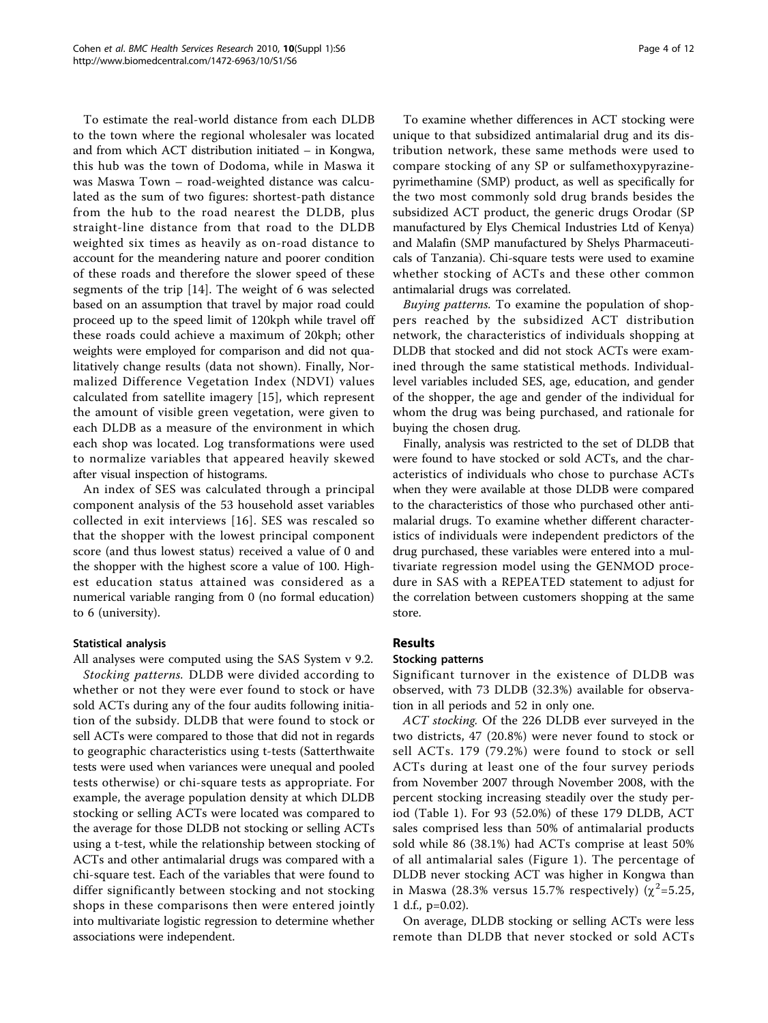To estimate the real-world distance from each DLDB to the town where the regional wholesaler was located and from which ACT distribution initiated – in Kongwa, this hub was the town of Dodoma, while in Maswa it was Maswa Town – road-weighted distance was calculated as the sum of two figures: shortest-path distance from the hub to the road nearest the DLDB, plus straight-line distance from that road to the DLDB weighted six times as heavily as on-road distance to account for the meandering nature and poorer condition of these roads and therefore the slower speed of these segments of the trip [[14\]](#page-10-0). The weight of 6 was selected based on an assumption that travel by major road could proceed up to the speed limit of 120kph while travel off these roads could achieve a maximum of 20kph; other weights were employed for comparison and did not qualitatively change results (data not shown). Finally, Normalized Difference Vegetation Index (NDVI) values calculated from satellite imagery [[15](#page-10-0)], which represent the amount of visible green vegetation, were given to each DLDB as a measure of the environment in which each shop was located. Log transformations were used to normalize variables that appeared heavily skewed after visual inspection of histograms.

An index of SES was calculated through a principal component analysis of the 53 household asset variables collected in exit interviews [[16](#page-10-0)]. SES was rescaled so that the shopper with the lowest principal component score (and thus lowest status) received a value of 0 and the shopper with the highest score a value of 100. Highest education status attained was considered as a numerical variable ranging from 0 (no formal education) to 6 (university).

#### Statistical analysis

All analyses were computed using the SAS System v 9.2. Stocking patterns. DLDB were divided according to whether or not they were ever found to stock or have sold ACTs during any of the four audits following initiation of the subsidy. DLDB that were found to stock or sell ACTs were compared to those that did not in regards to geographic characteristics using t-tests (Satterthwaite tests were used when variances were unequal and pooled tests otherwise) or chi-square tests as appropriate. For example, the average population density at which DLDB stocking or selling ACTs were located was compared to the average for those DLDB not stocking or selling ACTs using a t-test, while the relationship between stocking of ACTs and other antimalarial drugs was compared with a chi-square test. Each of the variables that were found to differ significantly between stocking and not stocking shops in these comparisons then were entered jointly into multivariate logistic regression to determine whether associations were independent.

To examine whether differences in ACT stocking were unique to that subsidized antimalarial drug and its distribution network, these same methods were used to compare stocking of any SP or sulfamethoxypyrazinepyrimethamine (SMP) product, as well as specifically for the two most commonly sold drug brands besides the subsidized ACT product, the generic drugs Orodar (SP manufactured by Elys Chemical Industries Ltd of Kenya) and Malafin (SMP manufactured by Shelys Pharmaceuticals of Tanzania). Chi-square tests were used to examine whether stocking of ACTs and these other common antimalarial drugs was correlated.

Buying patterns. To examine the population of shoppers reached by the subsidized ACT distribution network, the characteristics of individuals shopping at DLDB that stocked and did not stock ACTs were examined through the same statistical methods. Individuallevel variables included SES, age, education, and gender of the shopper, the age and gender of the individual for whom the drug was being purchased, and rationale for buying the chosen drug.

Finally, analysis was restricted to the set of DLDB that were found to have stocked or sold ACTs, and the characteristics of individuals who chose to purchase ACTs when they were available at those DLDB were compared to the characteristics of those who purchased other antimalarial drugs. To examine whether different characteristics of individuals were independent predictors of the drug purchased, these variables were entered into a multivariate regression model using the GENMOD procedure in SAS with a REPEATED statement to adjust for the correlation between customers shopping at the same store.

#### Results

#### Stocking patterns

Significant turnover in the existence of DLDB was observed, with 73 DLDB (32.3%) available for observation in all periods and 52 in only one.

ACT stocking. Of the 226 DLDB ever surveyed in the two districts, 47 (20.8%) were never found to stock or sell ACTs. 179 (79.2%) were found to stock or sell ACTs during at least one of the four survey periods from November 2007 through November 2008, with the percent stocking increasing steadily over the study period (Table [1\)](#page-4-0). For 93 (52.0%) of these 179 DLDB, ACT sales comprised less than 50% of antimalarial products sold while 86 (38.1%) had ACTs comprise at least 50% of all antimalarial sales (Figure [1\)](#page-4-0). The percentage of DLDB never stocking ACT was higher in Kongwa than in Maswa (28.3% versus 15.7% respectively)  $(\chi^2=5.25,$ 1 d.f., p=0.02).

On average, DLDB stocking or selling ACTs were less remote than DLDB that never stocked or sold ACTs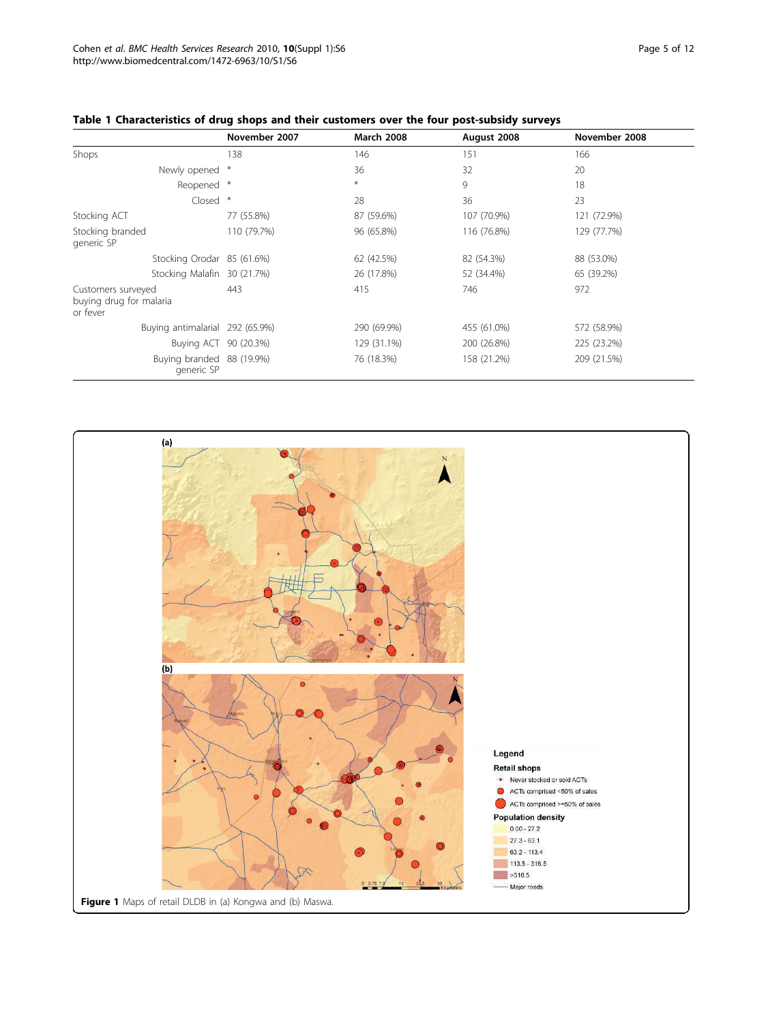|                                                           | November 2007 | <b>March 2008</b> | August 2008 | November 2008 |
|-----------------------------------------------------------|---------------|-------------------|-------------|---------------|
| Shops                                                     | 138           | 146               | 151         | 166           |
| Newly opened *                                            |               | 36                | 32          | 20            |
| Reopened *                                                |               | $*$               | 9           | 18            |
| $Closed *$                                                |               | 28                | 36          | 23            |
| Stocking ACT                                              | 77 (55.8%)    | 87 (59.6%)        | 107 (70.9%) | 121 (72.9%)   |
| Stocking branded<br>generic SP                            | 110 (79.7%)   | 96 (65.8%)        | 116 (76.8%) | 129 (77.7%)   |
| Stocking Orodar 85 (61.6%)                                |               | 62 (42.5%)        | 82 (54.3%)  | 88 (53.0%)    |
| Stocking Malafin 30 (21.7%)                               |               | 26 (17.8%)        | 52 (34.4%)  | 65 (39.2%)    |
| Customers surveyed<br>buying drug for malaria<br>or fever | 443           | 415               | 746         | 972           |
| Buying antimalarial 292 (65.9%)                           |               | 290 (69.9%)       | 455 (61.0%) | 572 (58.9%)   |
| Buying ACT 90 (20.3%)                                     |               | 129 (31.1%)       | 200 (26.8%) | 225 (23.2%)   |
| Buying branded 88 (19.9%)<br>generic SP                   |               | 76 (18.3%)        | 158 (21.2%) | 209 (21.5%)   |



<span id="page-4-0"></span>

|  |  |  |  |  | Table 1 Characteristics of drug shops and their customers over the four post-subsidy surveys |
|--|--|--|--|--|----------------------------------------------------------------------------------------------|
|--|--|--|--|--|----------------------------------------------------------------------------------------------|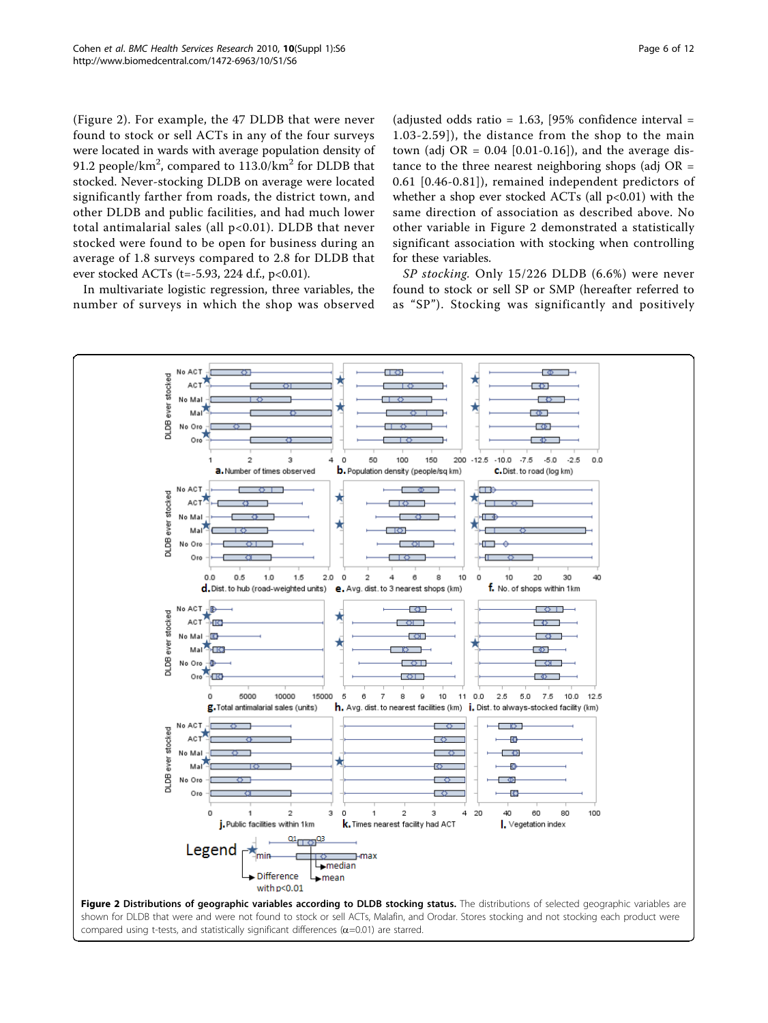<span id="page-5-0"></span>(Figure 2). For example, the 47 DLDB that were never found to stock or sell ACTs in any of the four surveys were located in wards with average population density of 91.2 people/km<sup>2</sup>, compared to 113.0/km<sup>2</sup> for DLDB that stocked. Never-stocking DLDB on average were located significantly farther from roads, the district town, and other DLDB and public facilities, and had much lower total antimalarial sales (all p<0.01). DLDB that never stocked were found to be open for business during an average of 1.8 surveys compared to 2.8 for DLDB that ever stocked ACTs (t=-5.93, 224 d.f., p<0.01).

In multivariate logistic regression, three variables, the number of surveys in which the shop was observed (adjusted odds ratio = 1.63, [95% confidence interval = 1.03-2.59]), the distance from the shop to the main town (adj OR =  $0.04$  [0.01-0.16]), and the average distance to the three nearest neighboring shops (adj  $OR =$ 0.61 [0.46-0.81]), remained independent predictors of whether a shop ever stocked ACTs (all  $p<0.01$ ) with the same direction of association as described above. No other variable in Figure 2 demonstrated a statistically significant association with stocking when controlling for these variables.

SP stocking. Only 15/226 DLDB (6.6%) were never found to stock or sell SP or SMP (hereafter referred to as "SP"). Stocking was significantly and positively

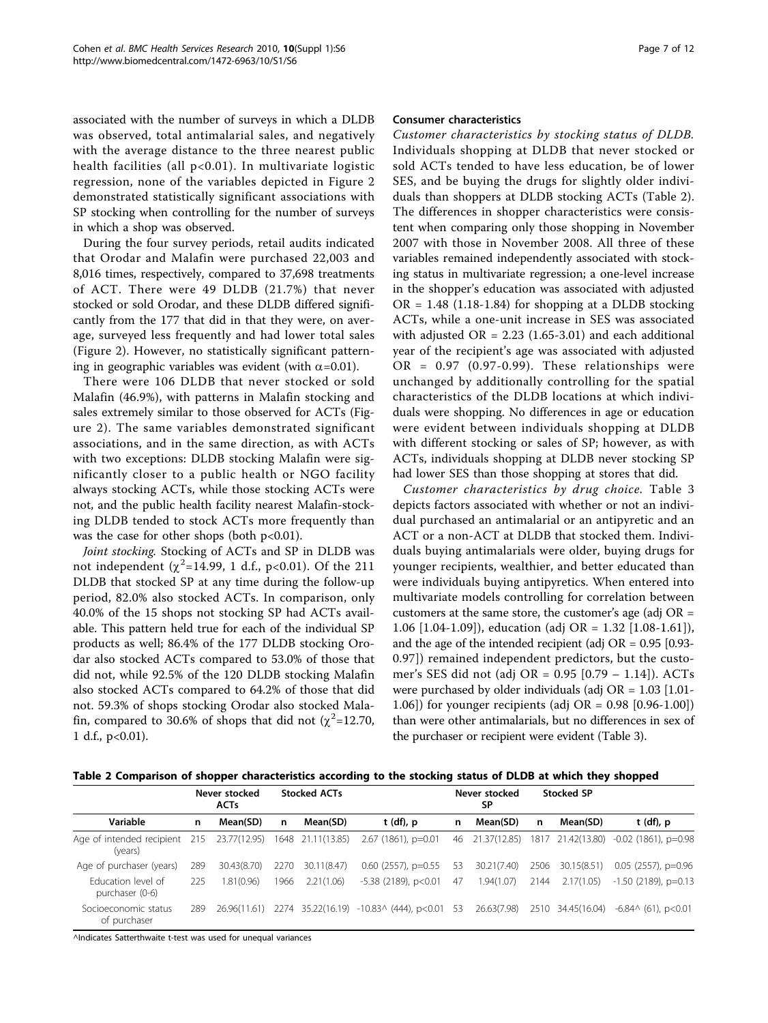associated with the number of surveys in which a DLDB was observed, total antimalarial sales, and negatively with the average distance to the three nearest public health facilities (all  $p<0.01$ ). In multivariate logistic regression, none of the variables depicted in Figure [2](#page-5-0) demonstrated statistically significant associations with SP stocking when controlling for the number of surveys in which a shop was observed.

During the four survey periods, retail audits indicated that Orodar and Malafin were purchased 22,003 and 8,016 times, respectively, compared to 37,698 treatments of ACT. There were 49 DLDB (21.7%) that never stocked or sold Orodar, and these DLDB differed significantly from the 177 that did in that they were, on average, surveyed less frequently and had lower total sales (Figure [2\)](#page-5-0). However, no statistically significant patterning in geographic variables was evident (with  $\alpha$ =0.01).

There were 106 DLDB that never stocked or sold Malafin (46.9%), with patterns in Malafin stocking and sales extremely similar to those observed for ACTs (Figure [2](#page-5-0)). The same variables demonstrated significant associations, and in the same direction, as with ACTs with two exceptions: DLDB stocking Malafin were significantly closer to a public health or NGO facility always stocking ACTs, while those stocking ACTs were not, and the public health facility nearest Malafin-stocking DLDB tended to stock ACTs more frequently than was the case for other shops (both p<0.01).

Joint stocking. Stocking of ACTs and SP in DLDB was not independent ( $\chi^2$ =14.99, 1 d.f., p<0.01). Of the 211 DLDB that stocked SP at any time during the follow-up period, 82.0% also stocked ACTs. In comparison, only 40.0% of the 15 shops not stocking SP had ACTs available. This pattern held true for each of the individual SP products as well; 86.4% of the 177 DLDB stocking Orodar also stocked ACTs compared to 53.0% of those that did not, while 92.5% of the 120 DLDB stocking Malafin also stocked ACTs compared to 64.2% of those that did not. 59.3% of shops stocking Orodar also stocked Malafin, compared to 30.6% of shops that did not ( $\chi^2$ =12.70, 1 d.f.,  $p<0.01$ ).

#### Consumer characteristics

Customer characteristics by stocking status of DLDB. Individuals shopping at DLDB that never stocked or sold ACTs tended to have less education, be of lower SES, and be buying the drugs for slightly older individuals than shoppers at DLDB stocking ACTs (Table 2). The differences in shopper characteristics were consistent when comparing only those shopping in November 2007 with those in November 2008. All three of these variables remained independently associated with stocking status in multivariate regression; a one-level increase in the shopper's education was associated with adjusted  $OR = 1.48$  (1.18-1.84) for shopping at a DLDB stocking ACTs, while a one-unit increase in SES was associated with adjusted  $OR = 2.23$  (1.65-3.01) and each additional year of the recipient's age was associated with adjusted  $OR = 0.97 (0.97-0.99)$ . These relationships were unchanged by additionally controlling for the spatial characteristics of the DLDB locations at which individuals were shopping. No differences in age or education were evident between individuals shopping at DLDB with different stocking or sales of SP; however, as with ACTs, individuals shopping at DLDB never stocking SP had lower SES than those shopping at stores that did.

Customer characteristics by drug choice. Table [3](#page-7-0) depicts factors associated with whether or not an individual purchased an antimalarial or an antipyretic and an ACT or a non-ACT at DLDB that stocked them. Individuals buying antimalarials were older, buying drugs for younger recipients, wealthier, and better educated than were individuals buying antipyretics. When entered into multivariate models controlling for correlation between customers at the same store, the customer's age (adj  $OR =$ 1.06 [1.04-1.09]), education (adj OR = 1.32 [1.08-1.61]), and the age of the intended recipient (adj  $OR = 0.95$  [0.93-0.97]) remained independent predictors, but the customer's SES did not (adj OR = 0.95 [0.79 – 1.14]). ACTs were purchased by older individuals (adj OR = 1.03 [1.01- 1.06]) for younger recipients (adj OR = 0.98 [0.96-1.00]) than were other antimalarials, but no differences in sex of the purchaser or recipient were evident (Table [3\)](#page-7-0).

Table 2 Comparison of shopper characteristics according to the stocking status of DLDB at which they shopped

| Never stocked<br><b>ACTs</b>                          |     |              | <b>Stocked ACTs</b> |                   |                                            | Never stocked<br>SΡ |                 | <b>Stocked SP</b> |                   |                                        |  |
|-------------------------------------------------------|-----|--------------|---------------------|-------------------|--------------------------------------------|---------------------|-----------------|-------------------|-------------------|----------------------------------------|--|
| Variable                                              | n   | Mean(SD)     | n                   | Mean(SD)          | t (df), p                                  | n                   | Mean(SD)        | n                 | Mean(SD)          | t (df), p                              |  |
| Age of intended recipient 215 23.77(12.95)<br>(years) |     |              |                     | 1648 21.11(13.85) | 2.67 (1861), p=0.01                        |                     | 46 21.37(12.85) |                   |                   | 1817 21.42(13.80) -0.02 (1861), p=0.98 |  |
| Age of purchaser (years)                              | 289 | 30.43(8.70)  | 2270                | 30.11(8.47)       | $0.60$ (2557), p=0.55                      | -53                 | 30.21(7.40)     | 2506              | 30.15(8.51)       | $0.05$ (2557), p=0.96                  |  |
| Education level of<br>purchaser (0-6)                 | 225 | 1.81(0.96)   | 1966                | 2.21(1.06)        | $-5.38$ (2189), p<0.01                     | 47                  | 1.94(1.07)      | 2144              | 2.17(1.05)        | $-1.50$ (2189), p=0.13                 |  |
| Socioeconomic status<br>of purchaser                  | 289 | 26.96(11.61) |                     |                   | 2274 35.22(16.19) -10.83^ (444), p<0.01 53 |                     | 26.63(7.98)     |                   | 2510 34.45(16.04) | $-6.84 \wedge (61)$ , p<0.01           |  |

^Indicates Satterthwaite t-test was used for unequal variances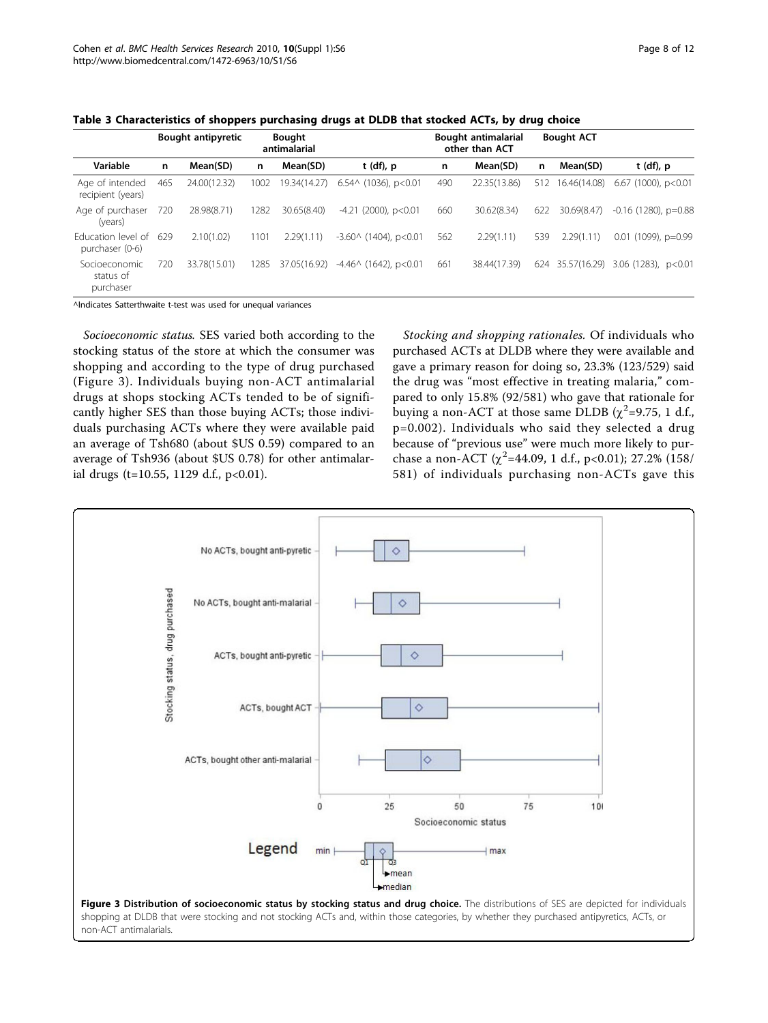<span id="page-7-0"></span>Table 3 Characteristics of shoppers purchasing drugs at DLDB that stocked ACTs, by drug choice

|                                         | Bought antipyretic |              | Bought<br>antimalarial |              |                                | <b>Bought antimalarial</b><br>other than ACT |              | <b>Bought ACT</b> |              |                           |  |
|-----------------------------------------|--------------------|--------------|------------------------|--------------|--------------------------------|----------------------------------------------|--------------|-------------------|--------------|---------------------------|--|
| Variable                                | n                  | Mean(SD)     | n                      | Mean(SD)     | t (df), p                      | n                                            | Mean(SD)     | n                 | Mean(SD)     | t (df), p                 |  |
| Age of intended<br>recipient (years)    | 465                | 24.00(12.32) | 1002                   | 19.34(14.27) | $6.54 \wedge (1036)$ , p<0.01  | 490                                          | 22.35(13.86) | 512               | 16.46(14.08) | $6.67$ (1000), $p < 0.01$ |  |
| Age of purchaser<br>(years)             | 720                | 28.98(8.71)  | 282                    | 30.65(8.40)  | $-4.21$ (2000), $p < 0.01$     | 660                                          | 30.62(8.34)  | 622               | 30.69(8.47)  | $-0.16$ (1280), p=0.88    |  |
| Education level of<br>purchaser (0-6)   | 629                | 2.10(1.02)   | 1101                   | 2.29(1.11)   | $-3.60 \wedge (1404)$ , p<0.01 | 562                                          | 2.29(1.11)   | 539               | 2.29(1.11)   | $0.01$ (1099), $p=0.99$   |  |
| Socioeconomic<br>status of<br>purchaser | 720                | 33.78(15.01) | 285                    | 37.05(16.92) | $-4.46 \wedge (1642)$ , p<0.01 | 661                                          | 38.44(17.39) | 624               | 35.57(16.29) | $3.06$ (1283), $p < 0.01$ |  |

^Indicates Satterthwaite t-test was used for unequal variances

Socioeconomic status. SES varied both according to the stocking status of the store at which the consumer was shopping and according to the type of drug purchased (Figure 3). Individuals buying non-ACT antimalarial drugs at shops stocking ACTs tended to be of significantly higher SES than those buying ACTs; those individuals purchasing ACTs where they were available paid an average of Tsh680 (about \$US 0.59) compared to an average of Tsh936 (about \$US 0.78) for other antimalarial drugs (t=10.55, 1129 d.f.,  $p<0.01$ ).

Stocking and shopping rationales. Of individuals who purchased ACTs at DLDB where they were available and gave a primary reason for doing so, 23.3% (123/529) said the drug was "most effective in treating malaria," compared to only 15.8% (92/581) who gave that rationale for buying a non-ACT at those same DLDB ( $\chi^2$ =9.75, 1 d.f., p=0.002). Individuals who said they selected a drug because of "previous use" were much more likely to purchase a non-ACT ( $\chi^2$ =44.09, 1 d.f., p<0.01); 27.2% (158/ 581) of individuals purchasing non-ACTs gave this

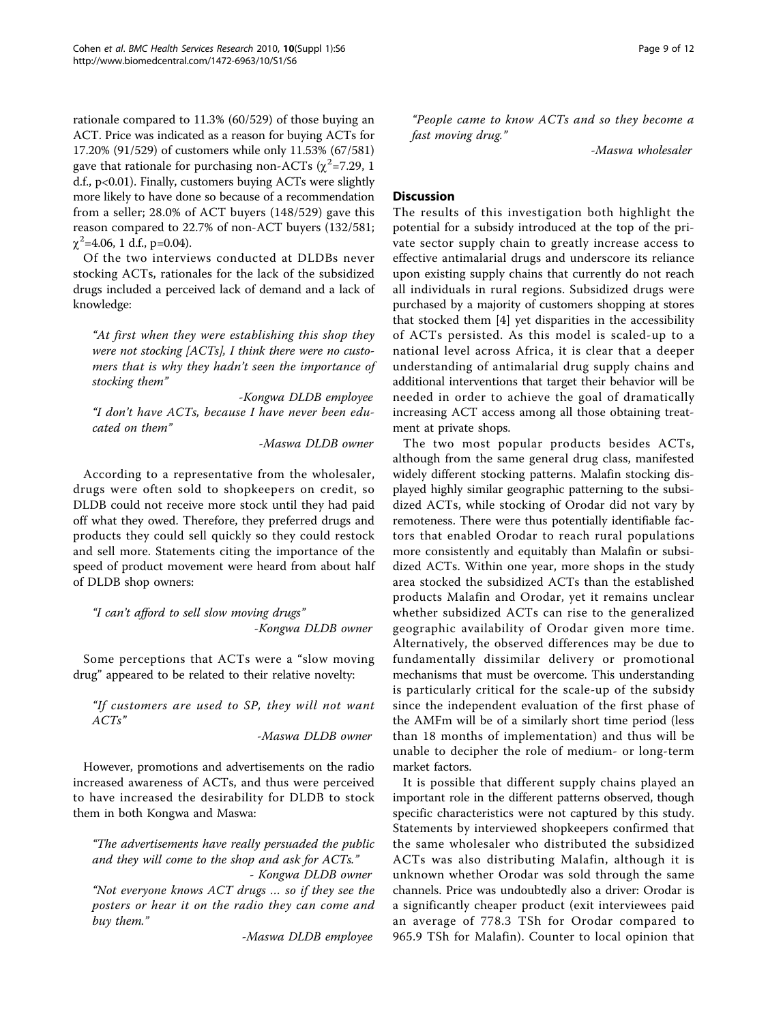rationale compared to 11.3% (60/529) of those buying an ACT. Price was indicated as a reason for buying ACTs for 17.20% (91/529) of customers while only 11.53% (67/581) gave that rationale for purchasing non-ACTs ( $\chi^2$ =7.29, 1 d.f., p<0.01). Finally, customers buying ACTs were slightly more likely to have done so because of a recommendation from a seller; 28.0% of ACT buyers (148/529) gave this reason compared to 22.7% of non-ACT buyers (132/581;  $\chi^2$ =4.06, 1 d.f., p=0.04).

Of the two interviews conducted at DLDBs never stocking ACTs, rationales for the lack of the subsidized drugs included a perceived lack of demand and a lack of knowledge:

"At first when they were establishing this shop they were not stocking [ACTs], I think there were no customers that is why they hadn't seen the importance of stocking them"

-Kongwa DLDB employee "I don't have ACTs, because I have never been educated on them"

-Maswa DLDB owner

According to a representative from the wholesaler, drugs were often sold to shopkeepers on credit, so DLDB could not receive more stock until they had paid off what they owed. Therefore, they preferred drugs and products they could sell quickly so they could restock and sell more. Statements citing the importance of the speed of product movement were heard from about half of DLDB shop owners:

"I can't afford to sell slow moving drugs" -Kongwa DLDB owner

Some perceptions that ACTs were a "slow moving drug" appeared to be related to their relative novelty:

"If customers are used to SP, they will not want ACTs"

-Maswa DLDB owner

However, promotions and advertisements on the radio increased awareness of ACTs, and thus were perceived to have increased the desirability for DLDB to stock them in both Kongwa and Maswa:

"The advertisements have really persuaded the public and they will come to the shop and ask for ACTs."

- Kongwa DLDB owner "Not everyone knows ACT drugs … so if they see the posters or hear it on the radio they can come and buy them."

-Maswa DLDB employee

"People came to know ACTs and so they become a fast moving drug."

-Maswa wholesaler

### **Discussion**

The results of this investigation both highlight the potential for a subsidy introduced at the top of the private sector supply chain to greatly increase access to effective antimalarial drugs and underscore its reliance upon existing supply chains that currently do not reach all individuals in rural regions. Subsidized drugs were purchased by a majority of customers shopping at stores that stocked them [[4\]](#page-10-0) yet disparities in the accessibility of ACTs persisted. As this model is scaled-up to a national level across Africa, it is clear that a deeper understanding of antimalarial drug supply chains and additional interventions that target their behavior will be needed in order to achieve the goal of dramatically increasing ACT access among all those obtaining treatment at private shops.

The two most popular products besides ACTs, although from the same general drug class, manifested widely different stocking patterns. Malafin stocking displayed highly similar geographic patterning to the subsidized ACTs, while stocking of Orodar did not vary by remoteness. There were thus potentially identifiable factors that enabled Orodar to reach rural populations more consistently and equitably than Malafin or subsidized ACTs. Within one year, more shops in the study area stocked the subsidized ACTs than the established products Malafin and Orodar, yet it remains unclear whether subsidized ACTs can rise to the generalized geographic availability of Orodar given more time. Alternatively, the observed differences may be due to fundamentally dissimilar delivery or promotional mechanisms that must be overcome. This understanding is particularly critical for the scale-up of the subsidy since the independent evaluation of the first phase of the AMFm will be of a similarly short time period (less than 18 months of implementation) and thus will be unable to decipher the role of medium- or long-term market factors.

It is possible that different supply chains played an important role in the different patterns observed, though specific characteristics were not captured by this study. Statements by interviewed shopkeepers confirmed that the same wholesaler who distributed the subsidized ACTs was also distributing Malafin, although it is unknown whether Orodar was sold through the same channels. Price was undoubtedly also a driver: Orodar is a significantly cheaper product (exit interviewees paid an average of 778.3 TSh for Orodar compared to 965.9 TSh for Malafin). Counter to local opinion that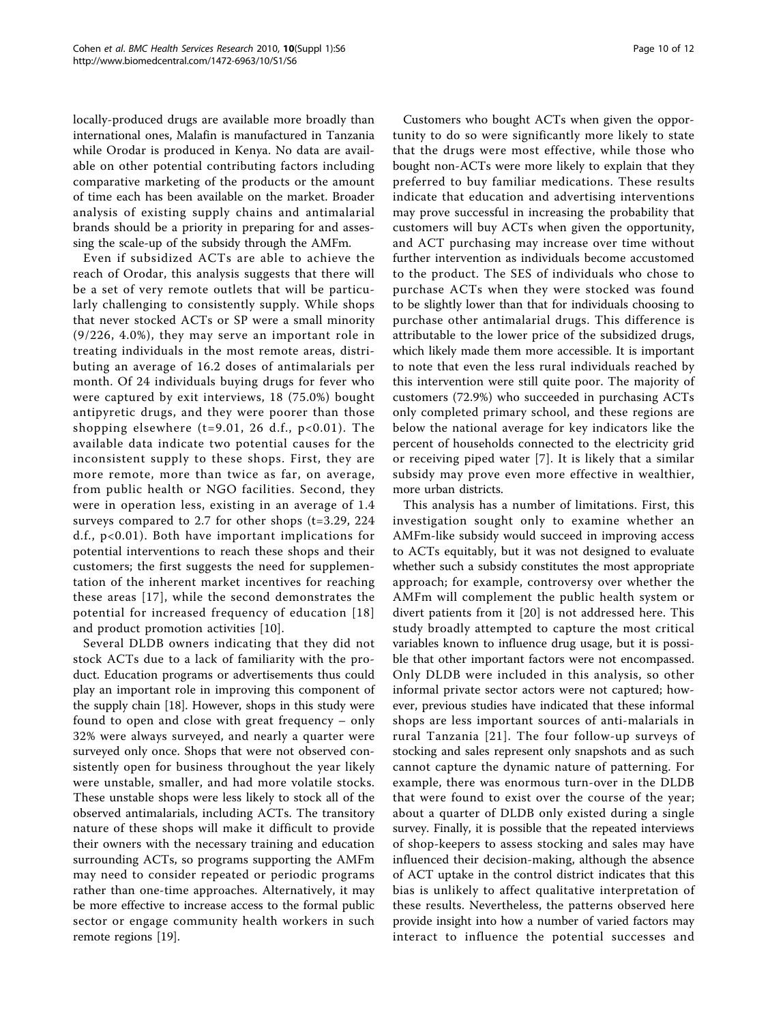locally-produced drugs are available more broadly than international ones, Malafin is manufactured in Tanzania while Orodar is produced in Kenya. No data are available on other potential contributing factors including comparative marketing of the products or the amount of time each has been available on the market. Broader analysis of existing supply chains and antimalarial brands should be a priority in preparing for and assessing the scale-up of the subsidy through the AMFm.

Even if subsidized ACTs are able to achieve the reach of Orodar, this analysis suggests that there will be a set of very remote outlets that will be particularly challenging to consistently supply. While shops that never stocked ACTs or SP were a small minority (9/226, 4.0%), they may serve an important role in treating individuals in the most remote areas, distributing an average of 16.2 doses of antimalarials per month. Of 24 individuals buying drugs for fever who were captured by exit interviews, 18 (75.0%) bought antipyretic drugs, and they were poorer than those shopping elsewhere ( $t=9.01$ , 26 d.f.,  $p<0.01$ ). The available data indicate two potential causes for the inconsistent supply to these shops. First, they are more remote, more than twice as far, on average, from public health or NGO facilities. Second, they were in operation less, existing in an average of 1.4 surveys compared to 2.7 for other shops (t=3.29, 224 d.f., p<0.01). Both have important implications for potential interventions to reach these shops and their customers; the first suggests the need for supplementation of the inherent market incentives for reaching these areas [[17](#page-10-0)], while the second demonstrates the potential for increased frequency of education [[18](#page-10-0)] and product promotion activities [[10\]](#page-10-0).

Several DLDB owners indicating that they did not stock ACTs due to a lack of familiarity with the product. Education programs or advertisements thus could play an important role in improving this component of the supply chain [[18](#page-10-0)]. However, shops in this study were found to open and close with great frequency – only 32% were always surveyed, and nearly a quarter were surveyed only once. Shops that were not observed consistently open for business throughout the year likely were unstable, smaller, and had more volatile stocks. These unstable shops were less likely to stock all of the observed antimalarials, including ACTs. The transitory nature of these shops will make it difficult to provide their owners with the necessary training and education surrounding ACTs, so programs supporting the AMFm may need to consider repeated or periodic programs rather than one-time approaches. Alternatively, it may be more effective to increase access to the formal public sector or engage community health workers in such remote regions [[19](#page-10-0)].

Customers who bought ACTs when given the opportunity to do so were significantly more likely to state that the drugs were most effective, while those who bought non-ACTs were more likely to explain that they preferred to buy familiar medications. These results indicate that education and advertising interventions may prove successful in increasing the probability that customers will buy ACTs when given the opportunity, and ACT purchasing may increase over time without further intervention as individuals become accustomed to the product. The SES of individuals who chose to purchase ACTs when they were stocked was found to be slightly lower than that for individuals choosing to purchase other antimalarial drugs. This difference is attributable to the lower price of the subsidized drugs, which likely made them more accessible. It is important to note that even the less rural individuals reached by this intervention were still quite poor. The majority of customers (72.9%) who succeeded in purchasing ACTs only completed primary school, and these regions are below the national average for key indicators like the percent of households connected to the electricity grid or receiving piped water [\[7](#page-10-0)]. It is likely that a similar subsidy may prove even more effective in wealthier, more urban districts.

This analysis has a number of limitations. First, this investigation sought only to examine whether an AMFm-like subsidy would succeed in improving access to ACTs equitably, but it was not designed to evaluate whether such a subsidy constitutes the most appropriate approach; for example, controversy over whether the AMFm will complement the public health system or divert patients from it [[20](#page-11-0)] is not addressed here. This study broadly attempted to capture the most critical variables known to influence drug usage, but it is possible that other important factors were not encompassed. Only DLDB were included in this analysis, so other informal private sector actors were not captured; however, previous studies have indicated that these informal shops are less important sources of anti-malarials in rural Tanzania [[21](#page-11-0)]. The four follow-up surveys of stocking and sales represent only snapshots and as such cannot capture the dynamic nature of patterning. For example, there was enormous turn-over in the DLDB that were found to exist over the course of the year; about a quarter of DLDB only existed during a single survey. Finally, it is possible that the repeated interviews of shop-keepers to assess stocking and sales may have influenced their decision-making, although the absence of ACT uptake in the control district indicates that this bias is unlikely to affect qualitative interpretation of these results. Nevertheless, the patterns observed here provide insight into how a number of varied factors may interact to influence the potential successes and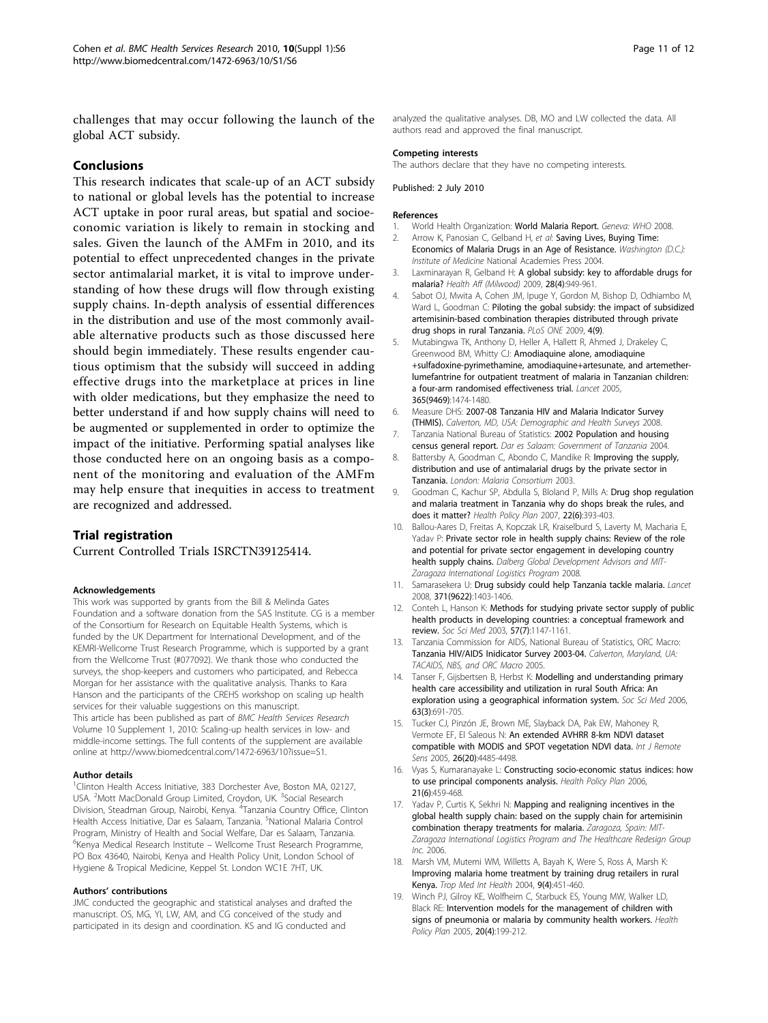<span id="page-10-0"></span>challenges that may occur following the launch of the global ACT subsidy.

#### Conclusions

This research indicates that scale-up of an ACT subsidy to national or global levels has the potential to increase ACT uptake in poor rural areas, but spatial and socioeconomic variation is likely to remain in stocking and sales. Given the launch of the AMFm in 2010, and its potential to effect unprecedented changes in the private sector antimalarial market, it is vital to improve understanding of how these drugs will flow through existing supply chains. In-depth analysis of essential differences in the distribution and use of the most commonly available alternative products such as those discussed here should begin immediately. These results engender cautious optimism that the subsidy will succeed in adding effective drugs into the marketplace at prices in line with older medications, but they emphasize the need to better understand if and how supply chains will need to be augmented or supplemented in order to optimize the impact of the initiative. Performing spatial analyses like those conducted here on an ongoing basis as a component of the monitoring and evaluation of the AMFm may help ensure that inequities in access to treatment are recognized and addressed.

#### Trial registration

Current Controlled Trials ISRCTN39125414.

#### Acknowledgements

This work was supported by grants from the Bill & Melinda Gates Foundation and a software donation from the SAS Institute. CG is a member of the Consortium for Research on Equitable Health Systems, which is funded by the UK Department for International Development, and of the KEMRI-Wellcome Trust Research Programme, which is supported by a grant from the Wellcome Trust (#077092). We thank those who conducted the surveys, the shop-keepers and customers who participated, and Rebecca Morgan for her assistance with the qualitative analysis. Thanks to Kara Hanson and the participants of the CREHS workshop on scaling up health services for their valuable suggestions on this manuscript. This article has been published as part of BMC Health Services Research Volume 10 Supplement 1, 2010: Scaling-up health services in low- and middle-income settings. The full contents of the supplement are available online at<http://www.biomedcentral.com/1472-6963/10?issue=S1>.

#### Author details

<sup>1</sup>Clinton Health Access Initiative, 383 Dorchester Ave, Boston MA, 02127, USA. <sup>2</sup>Mott MacDonald Group Limited, Croydon, UK. <sup>3</sup>Social Research Division, Steadman Group, Nairobi, Kenya. <sup>4</sup>Tanzania Country Office, Clinton Health Access Initiative, Dar es Salaam, Tanzania. <sup>5</sup>National Malaria Control Program, Ministry of Health and Social Welfare, Dar es Salaam, Tanzania. 6 Kenya Medical Research Institute – Wellcome Trust Research Programme, PO Box 43640, Nairobi, Kenya and Health Policy Unit, London School of Hygiene & Tropical Medicine, Keppel St. London WC1E 7HT, UK.

#### Authors' contributions

JMC conducted the geographic and statistical analyses and drafted the manuscript. OS, MG, YI, LW, AM, and CG conceived of the study and participated in its design and coordination. KS and IG conducted and

analyzed the qualitative analyses. DB, MO and LW collected the data. All authors read and approved the final manuscript.

#### Competing interests

The authors declare that they have no competing interests.

Published: 2 July 2010

#### References

- 1. World Health Organization: World Malaria Report. Geneva: WHO 2008.
- 2. Arrow K, Panosian C, Gelband H, et al: Saving Lives, Buying Time: Economics of Malaria Drugs in an Age of Resistance. Washington (D.C.): Institute of Medicine National Academies Press 2004.
- 3. Laxminarayan R, Gelband H: A global subsidy: key to affordable drugs for malaria? Health Aff (Milwood) 2009, 28(4):949-961.
- Sabot OJ, Mwita A, Cohen JM, Ipuge Y, Gordon M, Bishop D, Odhiambo M, Ward L, Goodman C: [Piloting the gobal subsidy: the impact of subsidized](http://www.ncbi.nlm.nih.gov/pubmed/19724644?dopt=Abstract) [artemisinin-based combination therapies distributed through private](http://www.ncbi.nlm.nih.gov/pubmed/19724644?dopt=Abstract) [drug shops in rural Tanzania.](http://www.ncbi.nlm.nih.gov/pubmed/19724644?dopt=Abstract) PLoS ONE 2009, 4(9).
- 5. Mutabingwa TK, Anthony D, Heller A, Hallett R, Ahmed J, Drakeley C, Greenwood BM, Whitty CJ: [Amodiaquine alone, amodiaquine](http://www.ncbi.nlm.nih.gov/pubmed/15850631?dopt=Abstract) [+sulfadoxine-pyrimethamine, amodiaquine+artesunate, and artemether](http://www.ncbi.nlm.nih.gov/pubmed/15850631?dopt=Abstract)[lumefantrine for outpatient treatment of malaria in Tanzanian children:](http://www.ncbi.nlm.nih.gov/pubmed/15850631?dopt=Abstract) [a four-arm randomised effectiveness trial.](http://www.ncbi.nlm.nih.gov/pubmed/15850631?dopt=Abstract) Lancet 2005, 365(9469):1474-1480.
- 6. Measure DHS: 2007-08 Tanzania HIV and Malaria Indicator Survey (THMIS). Calverton, MD, USA: Demographic and Health Surveys 2008.
- 7. Tanzania National Bureau of Statistics: 2002 Population and housing census general report. Dar es Salaam: Government of Tanzania 2004.
- 8. Battersby A, Goodman C, Abondo C, Mandike R: Improving the supply, distribution and use of antimalarial drugs by the private sector in Tanzania. London: Malaria Consortium 2003.
- 9. Goodman C, Kachur SP, Abdulla S, Bloland P, Mills A: [Drug shop regulation](http://www.ncbi.nlm.nih.gov/pubmed/17921151?dopt=Abstract) [and malaria treatment in Tanzania why do shops break the rules, and](http://www.ncbi.nlm.nih.gov/pubmed/17921151?dopt=Abstract) [does it matter?](http://www.ncbi.nlm.nih.gov/pubmed/17921151?dopt=Abstract) Health Policy Plan 2007, 22(6):393-403.
- 10. Ballou-Aares D, Freitas A, Kopczak LR, Kraiselburd S, Laverty M, Macharia E, Yadav P: Private sector role in health supply chains: Review of the role and potential for private sector engagement in developing country health supply chains. Dalberg Global Development Advisors and MIT-Zaragoza International Logistics Program 2008.
- 11. Samarasekera U: [Drug subsidy could help Tanzania tackle malaria.](http://www.ncbi.nlm.nih.gov/pubmed/18446925?dopt=Abstract) Lancet 2008, 371(9622):1403-1406.
- 12. Conteh L, Hanson K: [Methods for studying private sector supply of public](http://www.ncbi.nlm.nih.gov/pubmed/12899900?dopt=Abstract) [health products in developing countries: a conceptual framework and](http://www.ncbi.nlm.nih.gov/pubmed/12899900?dopt=Abstract) [review.](http://www.ncbi.nlm.nih.gov/pubmed/12899900?dopt=Abstract) Soc Sci Med 2003, 57(7):1147-1161.
- 13. Tanzania Commission for AIDS, National Bureau of Statistics, ORC Macro: Tanzania HIV/AIDS Inidicator Survey 2003-04. Calverton, Maryland, UA: TACAIDS, NBS, and ORC Macro 2005.
- 14. Tanser F, Gijsbertsen B, Herbst K: [Modelling and understanding primary](http://www.ncbi.nlm.nih.gov/pubmed/16574290?dopt=Abstract) [health care accessibility and utilization in rural South Africa: An](http://www.ncbi.nlm.nih.gov/pubmed/16574290?dopt=Abstract) [exploration using a geographical information system.](http://www.ncbi.nlm.nih.gov/pubmed/16574290?dopt=Abstract) Soc Sci Med 2006, 63(3):691-705.
- 15. Tucker CJ, Pinzón JE, Brown ME, Slayback DA, Pak EW, Mahoney R, Vermote EF, El Saleous N: An extended AVHRR 8-km NDVI dataset compatible with MODIS and SPOT vegetation NDVI data. Int J Remote Sens 2005, 26(20):4485-4498.
- 16. Vyas S, Kumaranayake L: [Constructing socio-economic status indices: how](http://www.ncbi.nlm.nih.gov/pubmed/17030551?dopt=Abstract) [to use principal components analysis.](http://www.ncbi.nlm.nih.gov/pubmed/17030551?dopt=Abstract) Health Policy Plan 2006, 21(6):459-468.
- 17. Yadav P, Curtis K, Sekhri N: Mapping and realigning incentives in the global health supply chain: based on the supply chain for artemisinin combination therapy treatments for malaria. Zaragoza, Spain: MIT-Zaragoza International Logistics Program and The Healthcare Redesign Group Inc. 2006.
- 18. Marsh VM, Mutemi WM, Willetts A, Bayah K, Were S, Ross A, Marsh K: [Improving malaria home treatment by training drug retailers in rural](http://www.ncbi.nlm.nih.gov/pubmed/15078263?dopt=Abstract) [Kenya.](http://www.ncbi.nlm.nih.gov/pubmed/15078263?dopt=Abstract) Trop Med Int Health 2004, 9(4):451-460.
- 19. Winch PJ, Gilroy KE, Wolfheim C, Starbuck ES, Young MW, Walker LD, Black RE: [Intervention models for the management of children with](http://www.ncbi.nlm.nih.gov/pubmed/15965032?dopt=Abstract) [signs of pneumonia or malaria by community health workers.](http://www.ncbi.nlm.nih.gov/pubmed/15965032?dopt=Abstract) Health Policy Plan 2005, 20(4):199-212.